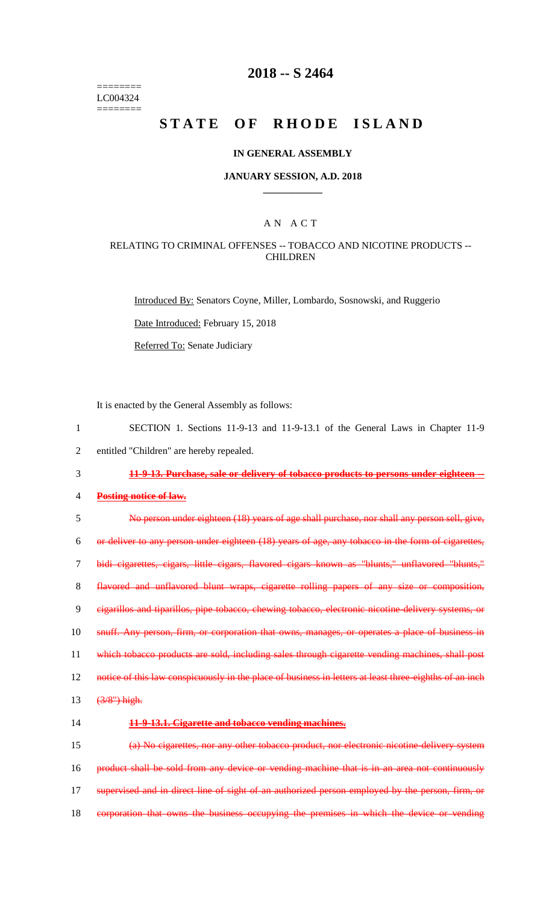======== LC004324 ========

# **2018 -- S 2464**

# **STATE OF RHODE ISLAND**

#### **IN GENERAL ASSEMBLY**

#### **JANUARY SESSION, A.D. 2018 \_\_\_\_\_\_\_\_\_\_\_\_**

## A N A C T

#### RELATING TO CRIMINAL OFFENSES -- TOBACCO AND NICOTINE PRODUCTS -- **CHILDREN**

Introduced By: Senators Coyne, Miller, Lombardo, Sosnowski, and Ruggerio

Date Introduced: February 15, 2018

Referred To: Senate Judiciary

It is enacted by the General Assembly as follows:

 SECTION 1. Sections 11-9-13 and 11-9-13.1 of the General Laws in Chapter 11-9 entitled "Children" are hereby repealed. **11-9-13. Purchase, sale or delivery of tobacco products to persons under eighteen -- Posting notice of law.** No person under eighteen (18) years of age shall purchase, nor shall any person sell, give, or deliver to any person under eighteen (18) years of age, any tobacco in the form of cigarettes, bidi cigarettes, cigars, little cigars, flavored cigars known as "blunts," unflavored "blunts," flavored and unflavored blunt wraps, cigarette rolling papers of any size or composition, cigarillos and tiparillos, pipe tobacco, chewing tobacco, electronic nicotine-delivery systems, or snuff. Any person, firm, or corporation that owns, manages, or operates a place of business in which tobacco products are sold, including sales through cigarette vending machines, shall post 12 notice of this law conspicuously in the place of business in letters at least three-eighths of an inch (3/8") high. **11-9-13.1. Cigarette and tobacco vending machines.** (a) No cigarettes, nor any other tobacco product, nor electronic nicotine-delivery system 16 product shall be sold from any device or vending machine that is in an area not continuously 17 supervised and in direct line of sight of an authorized person employed by the person, firm, or

18 corporation that owns the business occupying the premises in which the device or vending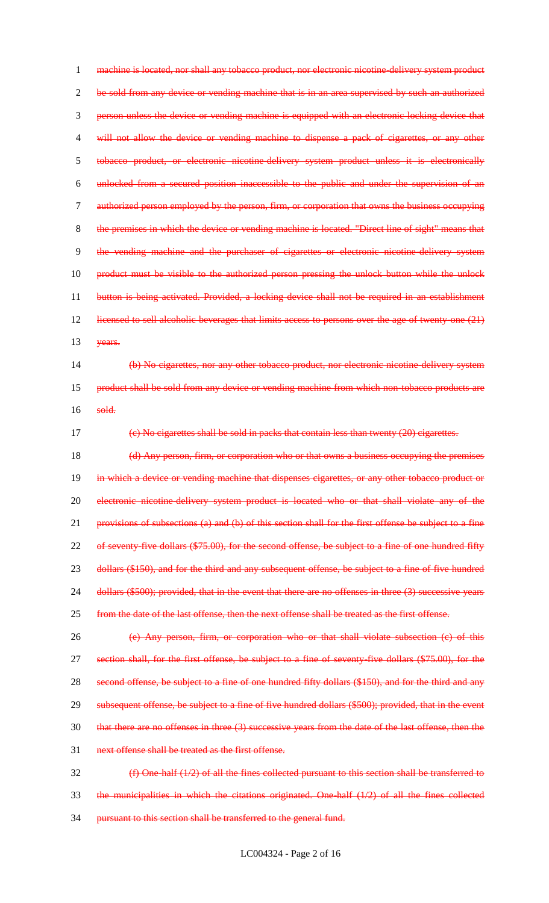1 machine is located, nor shall any tobacco product, nor electronic nicotine-delivery system product 2 be sold from any device or vending machine that is in an area supervised by such an authorized 3 person unless the device or vending machine is equipped with an electronic locking device that 4 will not allow the device or vending machine to dispense a pack of cigarettes, or any other 5 tobacco product, or electronic nicotine-delivery system product unless it is electronically 6 unlocked from a secured position inaccessible to the public and under the supervision of an 7 authorized person employed by the person, firm, or corporation that owns the business occupying 8 the premises in which the device or vending machine is located. "Direct line of sight" means that 9 the vending machine and the purchaser of cigarettes or electronic nicotine-delivery system 10 product must be visible to the authorized person pressing the unlock button while the unlock 11 button is being activated. Provided, a locking device shall not be required in an establishment 12 licensed to sell alcoholic beverages that limits access to persons over the age of twenty-one (21) 13 years. 14 (b) No cigarettes, nor any other tobacco product, nor electronic nicotine-delivery system 15 product shall be sold from any device or vending machine from which non-tobacco products are 16 sold.

17 (c) No cigarettes shall be sold in packs that contain less than twenty (20) cigarettes.

18 (d) Any person, firm, or corporation who or that owns a business occupying the premises 19 in which a device or vending machine that dispenses cigarettes, or any other tobacco product or 20 electronic nicotine-delivery system product is located who or that shall violate any of the 21 provisions of subsections (a) and (b) of this section shall for the first offense be subject to a fine 22 of seventy-five dollars (\$75.00), for the second offense, be subject to a fine of one hundred fifty 23 dollars (\$150), and for the third and any subsequent offense, be subject to a fine of five hundred 24 dollars (\$500); provided, that in the event that there are no offenses in three (3) successive years 25 from the date of the last offense, then the next offense shall be treated as the first offense.

26 (e) Any person, firm, or corporation who or that shall violate subsection (c) of this 27 section shall, for the first offense, be subject to a fine of seventy five dollars (\$75.00), for the 28 second offense, be subject to a fine of one hundred fifty dollars (\$150), and for the third and any 29 subsequent offense, be subject to a fine of five hundred dollars (\$500); provided, that in the event 30 that there are no offenses in three (3) successive years from the date of the last offense, then the 31 next offense shall be treated as the first offense.

32 (f) One-half (1/2) of all the fines collected pursuant to this section shall be transferred to  $33$  the municipalities in which the citations originated. One half  $(1/2)$  of all the fines collected 34 pursuant to this section shall be transferred to the general fund.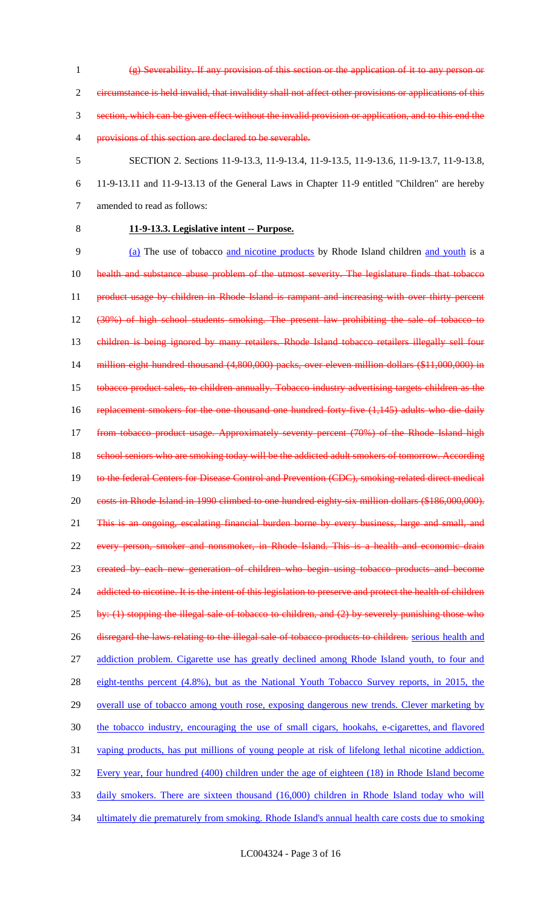(g) Severability. If any provision of this section or the application of it to any person or circumstance is held invalid, that invalidity shall not affect other provisions or applications of this section, which can be given effect without the invalid provision or application, and to this end the provisions of this section are declared to be severable.

- 
- 5 SECTION 2. Sections 11-9-13.3, 11-9-13.4, 11-9-13.5, 11-9-13.6, 11-9-13.7, 11-9-13.8,

6 11-9-13.11 and 11-9-13.13 of the General Laws in Chapter 11-9 entitled "Children" are hereby 7 amended to read as follows:

# 8 **11-9-13.3. Legislative intent -- Purpose.**

9 (a) The use of tobacco and nicotine products by Rhode Island children and youth is a 10 health and substance abuse problem of the utmost severity. The legislature finds that tobacco 11 product usage by children in Rhode Island is rampant and increasing with over thirty percent 12 (30%) of high school students smoking. The present law prohibiting the sale of tobacco to 13 children is being ignored by many retailers. Rhode Island tobacco retailers illegally sell four 14 million eight hundred thousand (4,800,000) packs, over eleven million dollars (\$11,000,000) in 15 tobacco product sales, to children annually. Tobacco industry advertising targets children as the 16 replacement smokers for the one thousand one hundred forty-five (1,145) adults who die daily 17 from tobacco product usage. Approximately seventy percent (70%) of the Rhode Island high 18 school seniors who are smoking today will be the addicted adult smokers of tomorrow. According 19 to the federal Centers for Disease Control and Prevention (CDC), smoking-related direct medical 20 costs in Rhode Island in 1990 climbed to one hundred eighty-six million dollars (\$186,000,000). 21 This is an ongoing, escalating financial burden borne by every business, large and small, and 22 every person, smoker and nonsmoker, in Rhode Island. This is a health and economic drain 23 created by each new generation of children who begin using tobacco products and become 24 addicted to nicotine. It is the intent of this legislation to preserve and protect the health of children  $25$  by: (1) stopping the illegal sale of tobacco to children, and (2) by severely punishing those who 26 disregard the laws relating to the illegal sale of tobacco products to children. serious health and 27 addiction problem. Cigarette use has greatly declined among Rhode Island youth, to four and 28 eight-tenths percent (4.8%), but as the National Youth Tobacco Survey reports, in 2015, the 29 overall use of tobacco among youth rose, exposing dangerous new trends. Clever marketing by 30 the tobacco industry, encouraging the use of small cigars, hookahs, e-cigarettes, and flavored 31 vaping products, has put millions of young people at risk of lifelong lethal nicotine addiction. 32 Every year, four hundred (400) children under the age of eighteen (18) in Rhode Island become 33 daily smokers. There are sixteen thousand (16,000) children in Rhode Island today who will 34 ultimately die prematurely from smoking. Rhode Island's annual health care costs due to smoking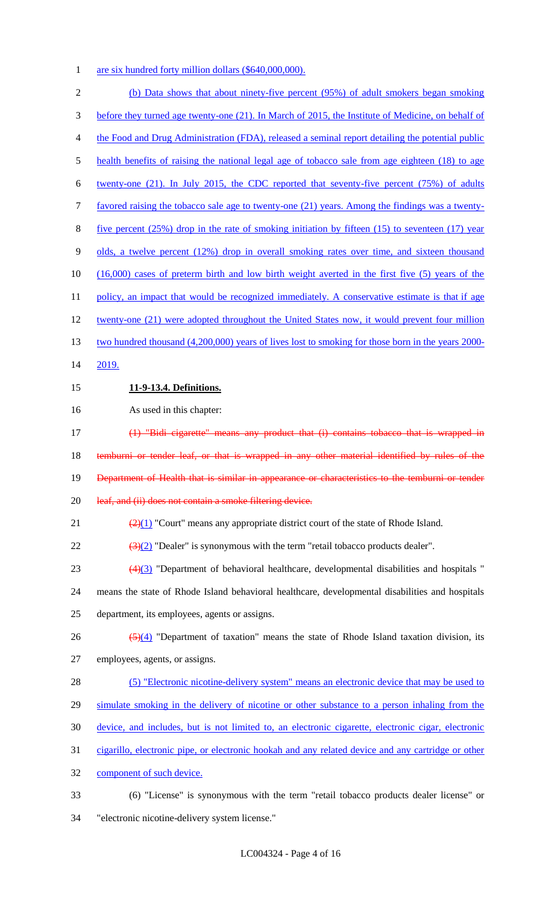1 are six hundred forty million dollars (\$640,000,000).

| $\sqrt{2}$     | (b) Data shows that about ninety-five percent (95%) of adult smokers began smoking                       |
|----------------|----------------------------------------------------------------------------------------------------------|
| 3              | before they turned age twenty-one (21). In March of 2015, the Institute of Medicine, on behalf of        |
| $\overline{4}$ | the Food and Drug Administration (FDA), released a seminal report detailing the potential public         |
| 5              | health benefits of raising the national legal age of tobacco sale from age eighteen (18) to age          |
| 6              | twenty-one $(21)$ . In July 2015, the CDC reported that seventy-five percent $(75%)$ of adults           |
| $\tau$         | favored raising the tobacco sale age to twenty-one (21) years. Among the findings was a twenty-          |
| $8\,$          | five percent $(25%)$ drop in the rate of smoking initiation by fifteen $(15)$ to seventeen $(17)$ year   |
| 9              | <u>olds, a twelve percent (12%) drop in overall smoking rates over time, and sixteen thousand</u>        |
| 10             | $(16,000)$ cases of preterm birth and low birth weight averted in the first five $(5)$ years of the      |
| 11             | policy, an impact that would be recognized immediately. A conservative estimate is that if age           |
| 12             | twenty-one (21) were adopted throughout the United States now, it would prevent four million             |
| 13             | two hundred thousand (4,200,000) years of lives lost to smoking for those born in the years 2000-        |
| 14             | 2019.                                                                                                    |
| 15             | 11-9-13.4. Definitions.                                                                                  |
| 16             | As used in this chapter:                                                                                 |
| 17             | (1) "Bidi cigarette" means any product that (i) contains tobacco that is wrapped in                      |
| 18             | temburni or tender leaf, or that is wrapped in any other material identified by rules of the             |
| 19             | Department of Health that is similar in appearance or characteristics to the temburni or tender          |
| 20             | leaf, and (ii) does not contain a smoke filtering device.                                                |
| 21             | $\left(\frac{2}{2}\right)(1)$ "Court" means any appropriate district court of the state of Rhode Island. |
| 22             | $\left(\frac{3}{2}\right)$ "Dealer" is synonymous with the term "retail tobacco products dealer".        |
| 23             | $\frac{(4)(3)}{(4)(3)}$ "Department of behavioral healthcare, developmental disabilities and hospitals"  |
| 24             | means the state of Rhode Island behavioral healthcare, developmental disabilities and hospitals          |
| 25             | department, its employees, agents or assigns.                                                            |
| 26             | $\frac{5(4)}{2(4)}$ "Department of taxation" means the state of Rhode Island taxation division, its      |
| 27             | employees, agents, or assigns.                                                                           |
| 28             | (5) "Electronic nicotine-delivery system" means an electronic device that may be used to                 |
| 29             | simulate smoking in the delivery of nicotine or other substance to a person inhaling from the            |
| 30             | device, and includes, but is not limited to, an electronic cigarette, electronic cigar, electronic       |
| 31             | cigarillo, electronic pipe, or electronic hookah and any related device and any cartridge or other       |
| 32             | component of such device.                                                                                |
| 33             | (6) "License" is synonymous with the term "retail tobacco products dealer license" or                    |
| 34             | "electronic nicotine-delivery system license."                                                           |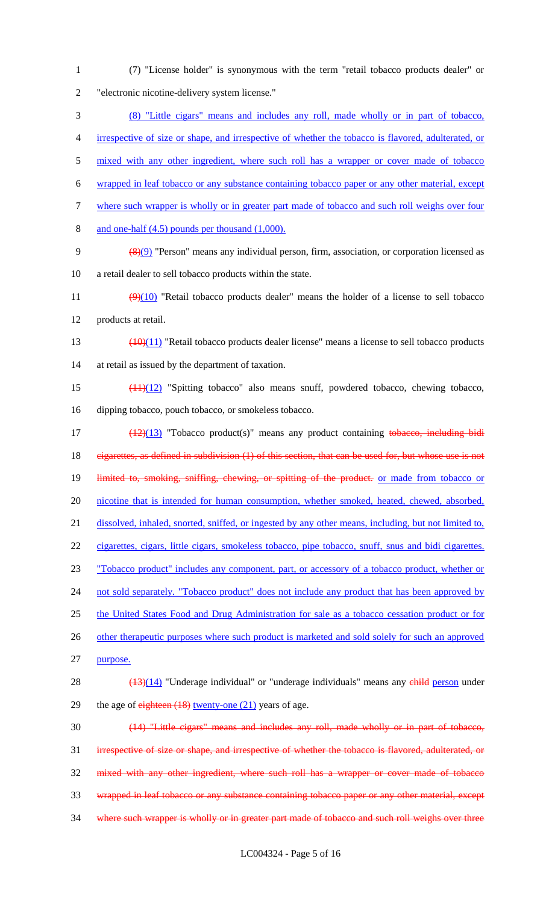(7) "License holder" is synonymous with the term "retail tobacco products dealer" or "electronic nicotine-delivery system license." (8) "Little cigars" means and includes any roll, made wholly or in part of tobacco, irrespective of size or shape, and irrespective of whether the tobacco is flavored, adulterated, or 5 mixed with any other ingredient, where such roll has a wrapper or cover made of tobacco wrapped in leaf tobacco or any substance containing tobacco paper or any other material, except where such wrapper is wholly or in greater part made of tobacco and such roll weighs over four and one-half (4.5) pounds per thousand (1,000). (8)(9) "Person" means any individual person, firm, association, or corporation licensed as a retail dealer to sell tobacco products within the state.  $(9)(10)$  "Retail tobacco products dealer" means the holder of a license to sell tobacco products at retail. (10)(11) "Retail tobacco products dealer license" means a license to sell tobacco products at retail as issued by the department of taxation. (11)(12) "Spitting tobacco" also means snuff, powdered tobacco, chewing tobacco, dipping tobacco, pouch tobacco, or smokeless tobacco. 17 (12)(13) "Tobacco product(s)" means any product containing tobacco, including bidi 18 eigarettes, as defined in subdivision (1) of this section, that can be used for, but whose use is not 19 limited to, smoking, sniffing, chewing, or spitting of the product. or made from tobacco or nicotine that is intended for human consumption, whether smoked, heated, chewed, absorbed, dissolved, inhaled, snorted, sniffed, or ingested by any other means, including, but not limited to, cigarettes, cigars, little cigars, smokeless tobacco, pipe tobacco, snuff, snus and bidi cigarettes. "Tobacco product" includes any component, part, or accessory of a tobacco product, whether or 24 not sold separately. "Tobacco product" does not include any product that has been approved by 25 the United States Food and Drug Administration for sale as a tobacco cessation product or for 26 other therapeutic purposes where such product is marketed and sold solely for such an approved purpose.  $\left(\frac{(13)(14)}{26}\right)$  "Underage individual" or "underage individuals" means any child person under 29 the age of  $e^{i}$  eighteen  $(18)$  twenty-one  $(21)$  years of age. (14) "Little cigars" means and includes any roll, made wholly or in part of tobacco, irrespective of size or shape, and irrespective of whether the tobacco is flavored, adulterated, or mixed with any other ingredient, where such roll has a wrapper or cover made of tobacco wrapped in leaf tobacco or any substance containing tobacco paper or any other material, except 34 where such wrapper is wholly or in greater part made of tobacco and such roll weighs over three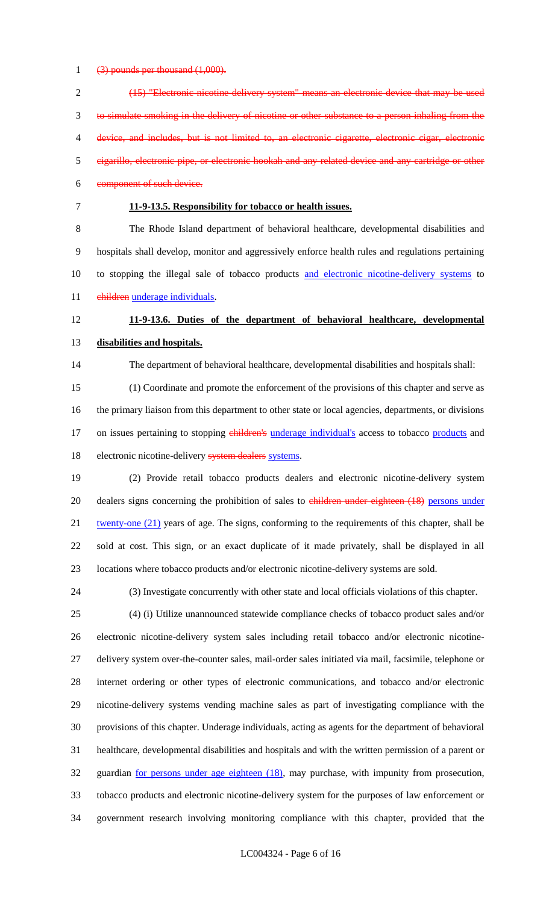(3) pounds per thousand (1,000).

| $\overline{2}$ | (15) "Electronic nicotine delivery system" means an electronic device that may be used                         |
|----------------|----------------------------------------------------------------------------------------------------------------|
| 3              | to simulate smoking in the delivery of nicotine or other substance to a person inhaling from the               |
| 4              | device, and includes, but is not limited to, an electronic cigarette, electronic cigar, electronic             |
| 5              | eigarillo, electronic pipe, or electronic hookah and any related device and any cartridge or other             |
| 6              | component of such device.                                                                                      |
| $\tau$         | 11-9-13.5. Responsibility for tobacco or health issues.                                                        |
| $8\,$          | The Rhode Island department of behavioral healthcare, developmental disabilities and                           |
| 9              | hospitals shall develop, monitor and aggressively enforce health rules and regulations pertaining              |
| 10             | to stopping the illegal sale of tobacco products and electronic nicotine-delivery systems to                   |
| 11             | children underage individuals.                                                                                 |
| 12             | 11-9-13.6. Duties of the department of behavioral healthcare, developmental                                    |
| 13             | disabilities and hospitals.                                                                                    |
| 14             | The department of behavioral healthcare, developmental disabilities and hospitals shall:                       |
| 15             | (1) Coordinate and promote the enforcement of the provisions of this chapter and serve as                      |
| 16             | the primary liaison from this department to other state or local agencies, departments, or divisions           |
| 17             | on issues pertaining to stopping <i>children's underage individual's</i> access to tobacco <i>products</i> and |
| 18             | electronic nicotine-delivery system dealers systems.                                                           |
| 19             | (2) Provide retail tobacco products dealers and electronic nicotine-delivery system                            |
| 20             | dealers signs concerning the prohibition of sales to children under eighteen (18) persons under                |
| 21             | twenty-one (21) years of age. The signs, conforming to the requirements of this chapter, shall be              |
| 22             | sold at cost. This sign, or an exact duplicate of it made privately, shall be displayed in all                 |
| 23             | locations where tobacco products and/or electronic nicotine-delivery systems are sold.                         |
| 24             | (3) Investigate concurrently with other state and local officials violations of this chapter.                  |
| 25             | (4) (i) Utilize unannounced statewide compliance checks of tobacco product sales and/or                        |
| 26             | electronic nicotine-delivery system sales including retail tobacco and/or electronic nicotine-                 |
| 27             | delivery system over-the-counter sales, mail-order sales initiated via mail, facsimile, telephone or           |
| 28             | internet ordering or other types of electronic communications, and tobacco and/or electronic                   |
| 29             | nicotine-delivery systems vending machine sales as part of investigating compliance with the                   |
| 30             | provisions of this chapter. Underage individuals, acting as agents for the department of behavioral            |
| 31             | healthcare, developmental disabilities and hospitals and with the written permission of a parent or            |

32 guardian for persons under age eighteen (18), may purchase, with impunity from prosecution, tobacco products and electronic nicotine-delivery system for the purposes of law enforcement or

government research involving monitoring compliance with this chapter, provided that the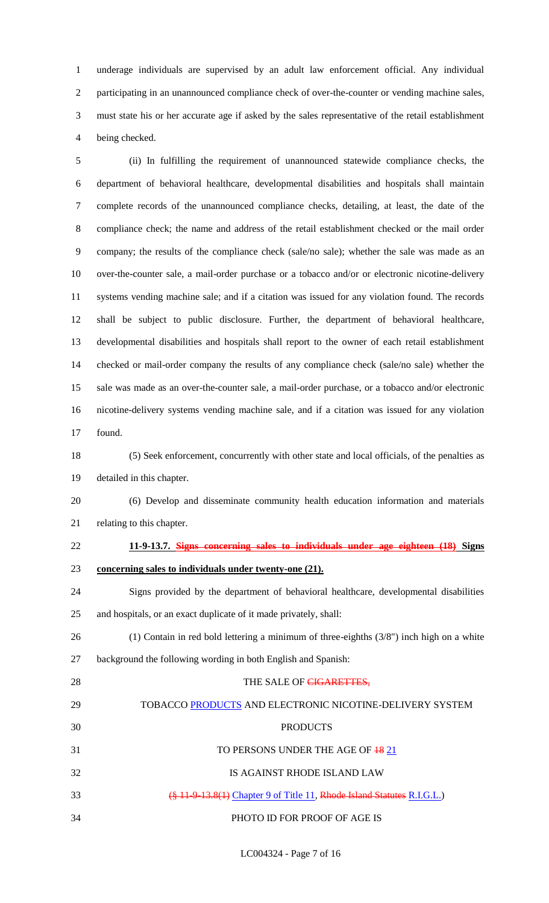underage individuals are supervised by an adult law enforcement official. Any individual participating in an unannounced compliance check of over-the-counter or vending machine sales, must state his or her accurate age if asked by the sales representative of the retail establishment being checked.

 (ii) In fulfilling the requirement of unannounced statewide compliance checks, the department of behavioral healthcare, developmental disabilities and hospitals shall maintain complete records of the unannounced compliance checks, detailing, at least, the date of the compliance check; the name and address of the retail establishment checked or the mail order company; the results of the compliance check (sale/no sale); whether the sale was made as an over-the-counter sale, a mail-order purchase or a tobacco and/or or electronic nicotine-delivery systems vending machine sale; and if a citation was issued for any violation found. The records shall be subject to public disclosure. Further, the department of behavioral healthcare, developmental disabilities and hospitals shall report to the owner of each retail establishment checked or mail-order company the results of any compliance check (sale/no sale) whether the sale was made as an over-the-counter sale, a mail-order purchase, or a tobacco and/or electronic nicotine-delivery systems vending machine sale, and if a citation was issued for any violation found.

 (5) Seek enforcement, concurrently with other state and local officials, of the penalties as detailed in this chapter.

 (6) Develop and disseminate community health education information and materials relating to this chapter.

# **11-9-13.7. Signs concerning sales to individuals under age eighteen (18) Signs**

**concerning sales to individuals under twenty-one (21).**

 Signs provided by the department of behavioral healthcare, developmental disabilities and hospitals, or an exact duplicate of it made privately, shall:

- (1) Contain in red bold lettering a minimum of three-eighths (3/8") inch high on a white
- background the following wording in both English and Spanish:

| 28 | THE SALE OF CIGARETTES,                                                |
|----|------------------------------------------------------------------------|
| 29 | TOBACCO PRODUCTS AND ELECTRONIC NICOTINE-DELIVERY SYSTEM               |
| 30 | <b>PRODUCTS</b>                                                        |
| 31 | TO PERSONS UNDER THE AGE OF 18 21                                      |
| 32 | IS AGAINST RHODE ISLAND LAW                                            |
| 33 | (§ 11-9-13.8(1) Chapter 9 of Title 11, Rhode Island Statutes R.I.G.L.) |
| 34 | PHOTO ID FOR PROOF OF AGE IS                                           |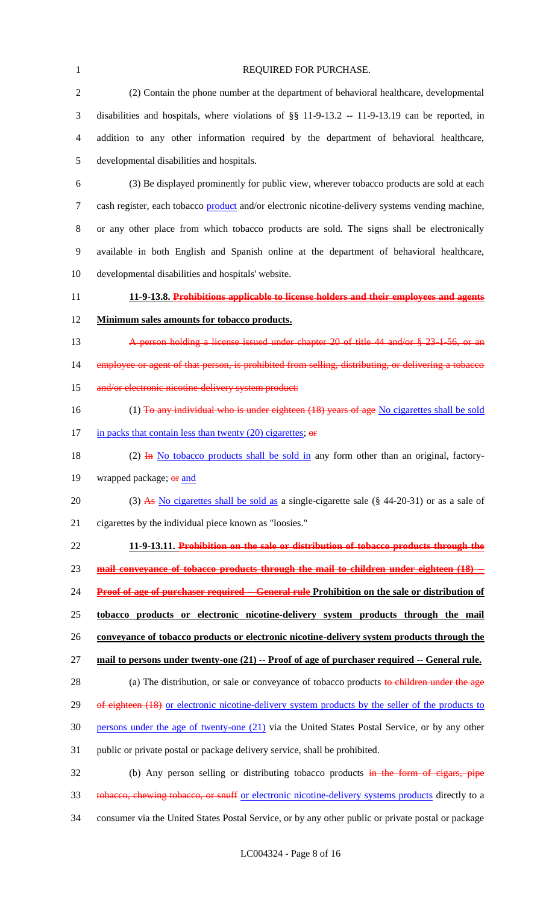| $\mathbf{1}$   | REQUIRED FOR PURCHASE.                                                                               |
|----------------|------------------------------------------------------------------------------------------------------|
| $\mathfrak{2}$ | (2) Contain the phone number at the department of behavioral healthcare, developmental               |
| 3              | disabilities and hospitals, where violations of $\S$ 11-9-13.2 -- 11-9-13.19 can be reported, in     |
| $\overline{4}$ | addition to any other information required by the department of behavioral healthcare,               |
| $\mathfrak{S}$ | developmental disabilities and hospitals.                                                            |
| 6              | (3) Be displayed prominently for public view, wherever tobacco products are sold at each             |
| $\tau$         | cash register, each tobacco product and/or electronic nicotine-delivery systems vending machine,     |
| $8\,$          | or any other place from which tobacco products are sold. The signs shall be electronically           |
| $\mathbf{9}$   | available in both English and Spanish online at the department of behavioral healthcare,             |
| 10             | developmental disabilities and hospitals' website.                                                   |
| 11             | 11-9-13.8. Prohibitions applicable to license holders and their employees and agents                 |
| 12             | Minimum sales amounts for tobacco products.                                                          |
| 13             | A person holding a license issued under chapter 20 of title 44 and/or § 23-1-56, or an               |
| 14             | employee or agent of that person, is prohibited from selling, distributing, or delivering a tobacco  |
| 15             | and/or electronic nicotine-delivery system product:                                                  |
| 16             | (1) To any individual who is under eighteen (18) years of age No cigarettes shall be sold            |
| 17             | in packs that contain less than twenty $(20)$ cigarettes; or                                         |
| 18             | (2) $\overline{H}$ No tobacco products shall be sold in any form other than an original, factory-    |
| 19             | wrapped package; or and                                                                              |
| 20             | (3) As No cigarettes shall be sold as a single-cigarette sale $(\S$ 44-20-31) or as a sale of        |
| 21             | cigarettes by the individual piece known as "loosies."                                               |
| 22             | 11-9-13.11. Prohibition on the sale or distribution of tobacco products through the                  |
| 23             | mail conveyance of tobacco products through the mail to children under eighteen (18) --              |
| 24             | <b>Proof of age of purchaser required -- General rule Prohibition on the sale or distribution of</b> |
| 25             | tobacco products or electronic nicotine-delivery system products through the mail                    |
| 26             | conveyance of tobacco products or electronic nicotine-delivery system products through the           |
| 27             | mail to persons under twenty-one (21) -- Proof of age of purchaser required -- General rule.         |
| 28             | (a) The distribution, or sale or conveyance of tobacco products to children under the age            |
| 29             | of eighteen (18) or electronic nicotine-delivery system products by the seller of the products to    |
| 30             | persons under the age of twenty-one $(21)$ via the United States Postal Service, or by any other     |
| 31             | public or private postal or package delivery service, shall be prohibited.                           |
| 32             | (b) Any person selling or distributing tobacco products in the form of eigars, pipe                  |
| 33             | tobacco, chewing tobacco, or snuff or electronic nicotine-delivery systems products directly to a    |
| 34             | consumer via the United States Postal Service, or by any other public or private postal or package   |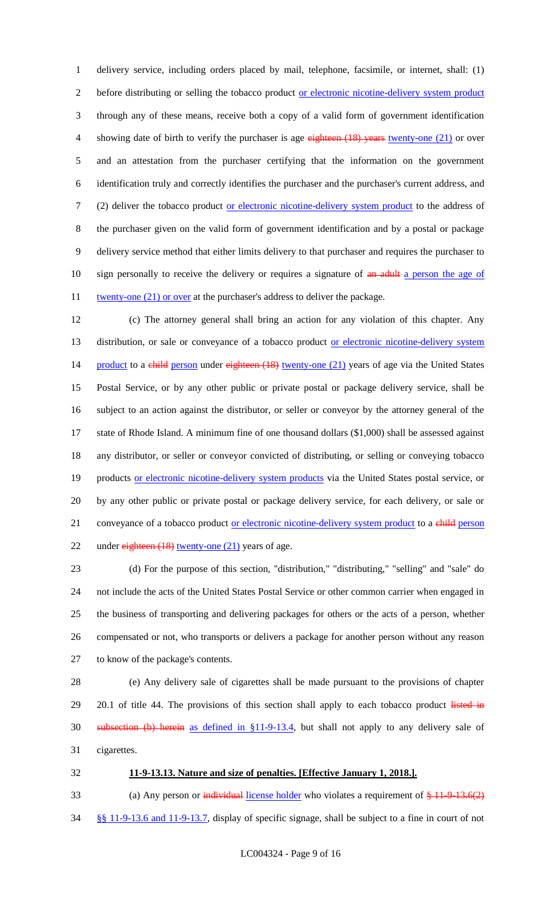delivery service, including orders placed by mail, telephone, facsimile, or internet, shall: (1) before distributing or selling the tobacco product or electronic nicotine-delivery system product through any of these means, receive both a copy of a valid form of government identification 4 showing date of birth to verify the purchaser is age eighteen (18) years twenty-one (21) or over and an attestation from the purchaser certifying that the information on the government identification truly and correctly identifies the purchaser and the purchaser's current address, and (2) deliver the tobacco product or electronic nicotine-delivery system product to the address of the purchaser given on the valid form of government identification and by a postal or package delivery service method that either limits delivery to that purchaser and requires the purchaser to 10 sign personally to receive the delivery or requires a signature of an adult a person the age of 11 twenty-one (21) or over at the purchaser's address to deliver the package.

 (c) The attorney general shall bring an action for any violation of this chapter. Any 13 distribution, or sale or conveyance of a tobacco product or electronic nicotine-delivery system 14 product to a child person under eighteen (18) twenty-one (21) years of age via the United States Postal Service, or by any other public or private postal or package delivery service, shall be subject to an action against the distributor, or seller or conveyor by the attorney general of the state of Rhode Island. A minimum fine of one thousand dollars (\$1,000) shall be assessed against any distributor, or seller or conveyor convicted of distributing, or selling or conveying tobacco 19 products or electronic nicotine-delivery system products via the United States postal service, or by any other public or private postal or package delivery service, for each delivery, or sale or 21 conveyance of a tobacco product <u>or electronic nicotine-delivery system product</u> to a child person 22 under eighteen (18) twenty-one (21) years of age.

 (d) For the purpose of this section, "distribution," "distributing," "selling" and "sale" do not include the acts of the United States Postal Service or other common carrier when engaged in the business of transporting and delivering packages for others or the acts of a person, whether compensated or not, who transports or delivers a package for another person without any reason to know of the package's contents.

 (e) Any delivery sale of cigarettes shall be made pursuant to the provisions of chapter 29 20.1 of title 44. The provisions of this section shall apply to each tobacco product listed in subsection (b) herein as defined in §11-9-13.4, but shall not apply to any delivery sale of cigarettes.

#### **11-9-13.13. Nature and size of penalties. [Effective January 1, 2018.].**

33 (a) Any person or individual license holder who violates a requirement of  $\frac{1}{2}$  13.6(2) §§ 11-9-13.6 and 11-9-13.7, display of specific signage, shall be subject to a fine in court of not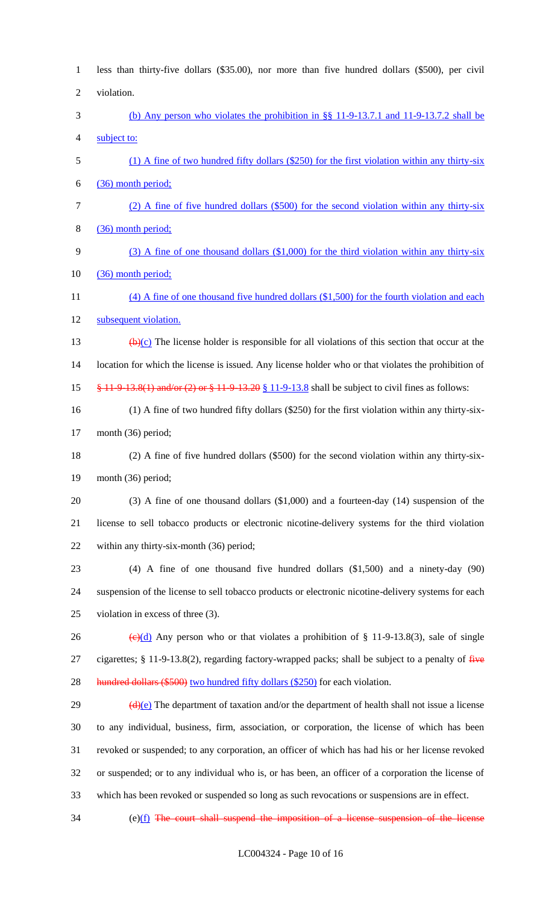| $\mathbf{1}$   | less than thirty-five dollars (\$35.00), nor more than five hundred dollars (\$500), per civil                                        |
|----------------|---------------------------------------------------------------------------------------------------------------------------------------|
| $\overline{2}$ | violation.                                                                                                                            |
| 3              | (b) Any person who violates the prohibition in $\S$ 11-9-13.7.1 and 11-9-13.7.2 shall be                                              |
| 4              | subject to:                                                                                                                           |
| 5              | $(1)$ A fine of two hundred fifty dollars (\$250) for the first violation within any thirty-six                                       |
| 6              | (36) month period;                                                                                                                    |
| 7              | (2) A fine of five hundred dollars (\$500) for the second violation within any thirty-six                                             |
| 8              | (36) month period;                                                                                                                    |
| 9              | $(3)$ A fine of one thousand dollars $(\$1,000)$ for the third violation within any thirty-six                                        |
| 10             | (36) month period;                                                                                                                    |
| 11             | $(4)$ A fine of one thousand five hundred dollars $(\$1,500)$ for the fourth violation and each                                       |
| 12             | subsequent violation.                                                                                                                 |
| 13             | $\bigoplus$ (e) The license holder is responsible for all violations of this section that occur at the                                |
| 14             | location for which the license is issued. Any license holder who or that violates the prohibition of                                  |
| 15             | $\frac{8}{9}$ 11-9-13.8(1) and/or (2) or $\frac{8}{9}$ 11-9-13.20 $\frac{8}{9}$ 11-9-13.8 shall be subject to civil fines as follows: |
| 16             | $(1)$ A fine of two hundred fifty dollars (\$250) for the first violation within any thirty-six-                                      |
| 17             | month (36) period;                                                                                                                    |
| 18             | (2) A fine of five hundred dollars (\$500) for the second violation within any thirty-six-                                            |
| 19             | month (36) period;                                                                                                                    |
| 20             | $(3)$ A fine of one thousand dollars $(1,000)$ and a fourteen-day $(14)$ suspension of the                                            |
| 21             | license to sell tobacco products or electronic nicotine-delivery systems for the third violation                                      |
| 22             | within any thirty-six-month (36) period;                                                                                              |
| 23             | $(4)$ A fine of one thousand five hundred dollars $(1,500)$ and a ninety-day $(90)$                                                   |
| 24             | suspension of the license to sell tobacco products or electronic nicotine-delivery systems for each                                   |
| 25             | violation in excess of three (3).                                                                                                     |
| 26             | $\left(\frac{e}{c}\right)\left(\frac{d}{d}\right)$ Any person who or that violates a prohibition of § 11-9-13.8(3), sale of single    |
| 27             | cigarettes; $\S$ 11-9-13.8(2), regarding factory-wrapped packs; shall be subject to a penalty of $\overline{f}$                       |
| 28             | hundred dollars (\$500) two hundred fifty dollars (\$250) for each violation.                                                         |
| 29             | $\left(\frac{d}{e}\right)$ The department of taxation and/or the department of health shall not issue a license                       |
| 30             | to any individual, business, firm, association, or corporation, the license of which has been                                         |
| 31             | revoked or suspended; to any corporation, an officer of which has had his or her license revoked                                      |
| 32             | or suspended; or to any individual who is, or has been, an officer of a corporation the license of                                    |
| 33             | which has been revoked or suspended so long as such revocations or suspensions are in effect.                                         |
| 34             | $(e)(f)$ The court shall suspend the imposition of a license suspension of the license                                                |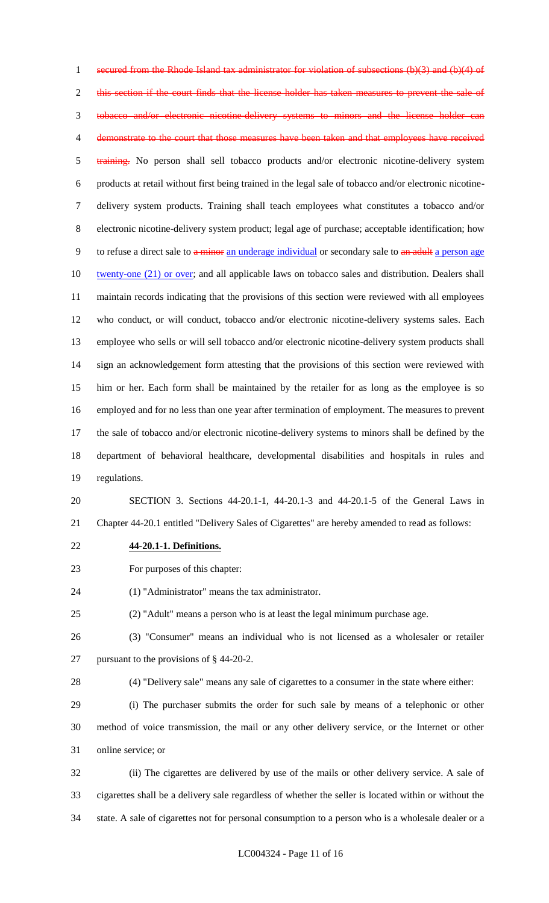secured from the Rhode Island tax administrator for violation of subsections (b)(3) and (b)(4) of 2 this section if the court finds that the license holder has taken measures to prevent the sale of tobacco and/or electronic nicotine-delivery systems to minors and the license holder can demonstrate to the court that those measures have been taken and that employees have received 5 training. No person shall sell tobacco products and/or electronic nicotine-delivery system products at retail without first being trained in the legal sale of tobacco and/or electronic nicotine- delivery system products. Training shall teach employees what constitutes a tobacco and/or electronic nicotine-delivery system product; legal age of purchase; acceptable identification; how 9 to refuse a direct sale to a minor an underage individual or secondary sale to an adult a person age 10 twenty-one (21) or over; and all applicable laws on tobacco sales and distribution. Dealers shall maintain records indicating that the provisions of this section were reviewed with all employees who conduct, or will conduct, tobacco and/or electronic nicotine-delivery systems sales. Each employee who sells or will sell tobacco and/or electronic nicotine-delivery system products shall sign an acknowledgement form attesting that the provisions of this section were reviewed with him or her. Each form shall be maintained by the retailer for as long as the employee is so employed and for no less than one year after termination of employment. The measures to prevent the sale of tobacco and/or electronic nicotine-delivery systems to minors shall be defined by the department of behavioral healthcare, developmental disabilities and hospitals in rules and regulations.

 SECTION 3. Sections 44-20.1-1, 44-20.1-3 and 44-20.1-5 of the General Laws in Chapter 44-20.1 entitled "Delivery Sales of Cigarettes" are hereby amended to read as follows:

- **44-20.1-1. Definitions.**
- For purposes of this chapter:

(1) "Administrator" means the tax administrator.

(2) "Adult" means a person who is at least the legal minimum purchase age.

 (3) "Consumer" means an individual who is not licensed as a wholesaler or retailer pursuant to the provisions of § 44-20-2.

 (4) "Delivery sale" means any sale of cigarettes to a consumer in the state where either: (i) The purchaser submits the order for such sale by means of a telephonic or other method of voice transmission, the mail or any other delivery service, or the Internet or other online service; or

 (ii) The cigarettes are delivered by use of the mails or other delivery service. A sale of cigarettes shall be a delivery sale regardless of whether the seller is located within or without the state. A sale of cigarettes not for personal consumption to a person who is a wholesale dealer or a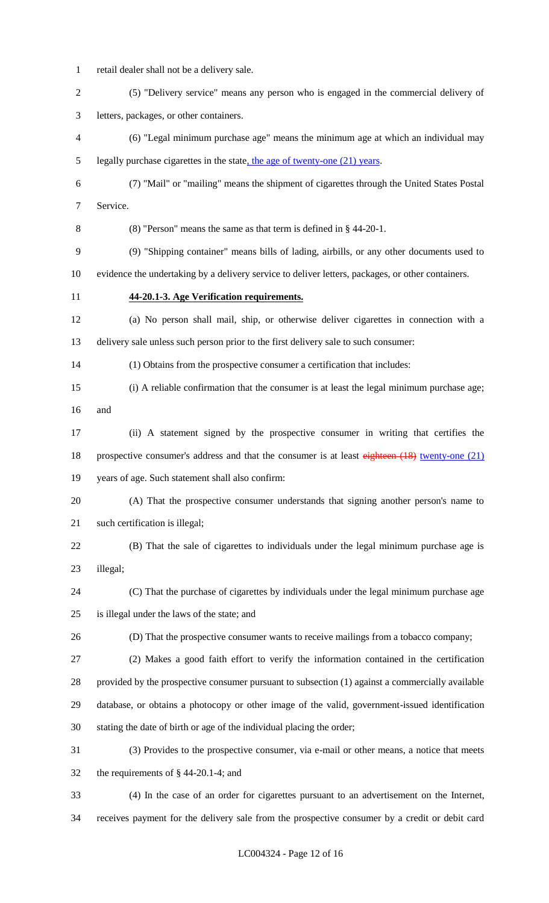retail dealer shall not be a delivery sale.

| $\overline{2}$ | (5) "Delivery service" means any person who is engaged in the commercial delivery of              |
|----------------|---------------------------------------------------------------------------------------------------|
| 3              | letters, packages, or other containers.                                                           |
| 4              | (6) "Legal minimum purchase age" means the minimum age at which an individual may                 |
| 5              | legally purchase cigarettes in the state, the age of twenty-one $(21)$ years.                     |
| 6              | (7) "Mail" or "mailing" means the shipment of cigarettes through the United States Postal         |
| 7              | Service.                                                                                          |
| 8              | $(8)$ "Person" means the same as that term is defined in § 44-20-1.                               |
| 9              | (9) "Shipping container" means bills of lading, airbills, or any other documents used to          |
| 10             | evidence the undertaking by a delivery service to deliver letters, packages, or other containers. |
| 11             | 44-20.1-3. Age Verification requirements.                                                         |
| 12             | (a) No person shall mail, ship, or otherwise deliver cigarettes in connection with a              |
| 13             | delivery sale unless such person prior to the first delivery sale to such consumer:               |
| 14             | (1) Obtains from the prospective consumer a certification that includes:                          |
| 15             | (i) A reliable confirmation that the consumer is at least the legal minimum purchase age;         |
| 16             | and                                                                                               |
| 17             | (ii) A statement signed by the prospective consumer in writing that certifies the                 |
| 18             | prospective consumer's address and that the consumer is at least eighteen (18) twenty-one (21)    |
| 19             | years of age. Such statement shall also confirm:                                                  |
| 20             | (A) That the prospective consumer understands that signing another person's name to               |
| 21             | such certification is illegal;                                                                    |
| 22             | (B) That the sale of cigarettes to individuals under the legal minimum purchase age is            |
| 23             | illegal;                                                                                          |
| 24             | (C) That the purchase of cigarettes by individuals under the legal minimum purchase age           |
| 25             | is illegal under the laws of the state; and                                                       |
| 26             | (D) That the prospective consumer wants to receive mailings from a tobacco company;               |
| 27             | (2) Makes a good faith effort to verify the information contained in the certification            |
| 28             | provided by the prospective consumer pursuant to subsection (1) against a commercially available  |
| 29             | database, or obtains a photocopy or other image of the valid, government-issued identification    |
| 30             | stating the date of birth or age of the individual placing the order;                             |
| 31             | (3) Provides to the prospective consumer, via e-mail or other means, a notice that meets          |
| 32             | the requirements of $\S$ 44-20.1-4; and                                                           |
| 33             | (4) In the case of an order for cigarettes pursuant to an advertisement on the Internet,          |

receives payment for the delivery sale from the prospective consumer by a credit or debit card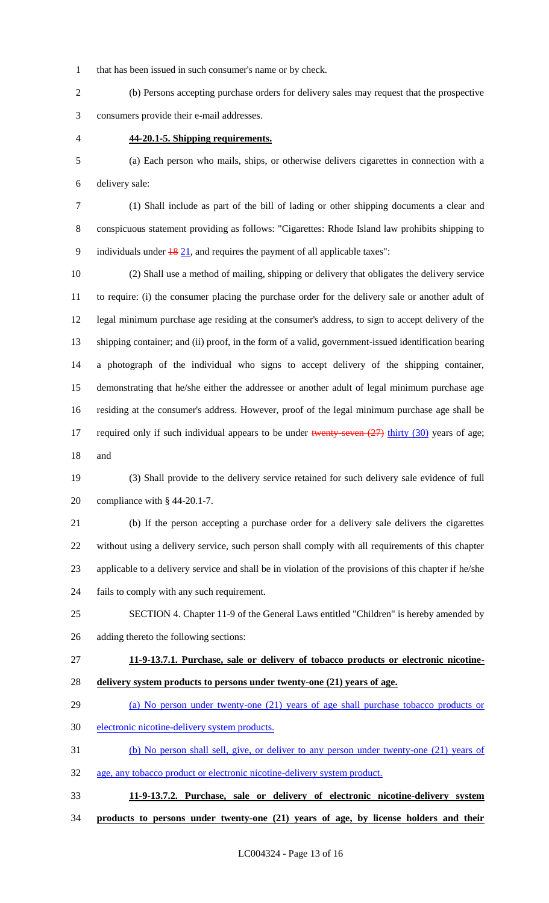that has been issued in such consumer's name or by check.

 (b) Persons accepting purchase orders for delivery sales may request that the prospective consumers provide their e-mail addresses.

## **44-20.1-5. Shipping requirements.**

 (a) Each person who mails, ships, or otherwise delivers cigarettes in connection with a delivery sale:

 (1) Shall include as part of the bill of lading or other shipping documents a clear and conspicuous statement providing as follows: "Cigarettes: Rhode Island law prohibits shipping to 9 individuals under  $\frac{18}{21}$ , and requires the payment of all applicable taxes":

 (2) Shall use a method of mailing, shipping or delivery that obligates the delivery service to require: (i) the consumer placing the purchase order for the delivery sale or another adult of legal minimum purchase age residing at the consumer's address, to sign to accept delivery of the shipping container; and (ii) proof, in the form of a valid, government-issued identification bearing a photograph of the individual who signs to accept delivery of the shipping container, demonstrating that he/she either the addressee or another adult of legal minimum purchase age residing at the consumer's address. However, proof of the legal minimum purchase age shall be 17 required only if such individual appears to be under twenty-seven  $(27)$  thirty  $(30)$  years of age; and

 (3) Shall provide to the delivery service retained for such delivery sale evidence of full compliance with § 44-20.1-7.

 (b) If the person accepting a purchase order for a delivery sale delivers the cigarettes without using a delivery service, such person shall comply with all requirements of this chapter applicable to a delivery service and shall be in violation of the provisions of this chapter if he/she fails to comply with any such requirement.

 SECTION 4. Chapter 11-9 of the General Laws entitled "Children" is hereby amended by adding thereto the following sections:

 **11-9-13.7.1. Purchase, sale or delivery of tobacco products or electronic nicotine-delivery system products to persons under twenty-one (21) years of age.** 

#### (a) No person under twenty-one (21) years of age shall purchase tobacco products or

electronic nicotine-delivery system products.

(b) No person shall sell, give, or deliver to any person under twenty-one (21) years of

- age, any tobacco product or electronic nicotine-delivery system product.
- **11-9-13.7.2. Purchase, sale or delivery of electronic nicotine-delivery system**
- **products to persons under twenty-one (21) years of age, by license holders and their**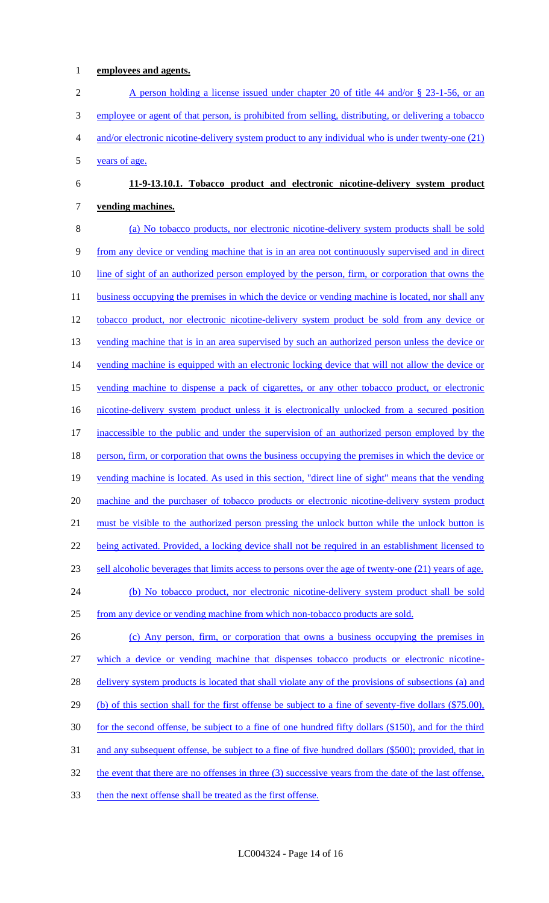# **employees and agents.**

2 A person holding a license issued under chapter 20 of title 44 and/or § 23-1-56, or an employee or agent of that person, is prohibited from selling, distributing, or delivering a tobacco and/or electronic nicotine-delivery system product to any individual who is under twenty-one (21) years of age.

# **11-9-13.10.1. Tobacco product and electronic nicotine-delivery system product vending machines.**

 (a) No tobacco products, nor electronic nicotine-delivery system products shall be sold from any device or vending machine that is in an area not continuously supervised and in direct line of sight of an authorized person employed by the person, firm, or corporation that owns the 11 business occupying the premises in which the device or vending machine is located, nor shall any 12 tobacco product, nor electronic nicotine-delivery system product be sold from any device or 13 vending machine that is in an area supervised by such an authorized person unless the device or 14 vending machine is equipped with an electronic locking device that will not allow the device or vending machine to dispense a pack of cigarettes, or any other tobacco product, or electronic 16 nicotine-delivery system product unless it is electronically unlocked from a secured position inaccessible to the public and under the supervision of an authorized person employed by the 18 person, firm, or corporation that owns the business occupying the premises in which the device or vending machine is located. As used in this section, "direct line of sight" means that the vending 20 machine and the purchaser of tobacco products or electronic nicotine-delivery system product must be visible to the authorized person pressing the unlock button while the unlock button is being activated. Provided, a locking device shall not be required in an establishment licensed to sell alcoholic beverages that limits access to persons over the age of twenty-one (21) years of age. (b) No tobacco product, nor electronic nicotine-delivery system product shall be sold from any device or vending machine from which non-tobacco products are sold. 26 (c) Any person, firm, or corporation that owns a business occupying the premises in

 which a device or vending machine that dispenses tobacco products or electronic nicotine-28 delivery system products is located that shall violate any of the provisions of subsections (a) and (b) of this section shall for the first offense be subject to a fine of seventy-five dollars (\$75.00), for the second offense, be subject to a fine of one hundred fifty dollars (\$150), and for the third and any subsequent offense, be subject to a fine of five hundred dollars (\$500); provided, that in the event that there are no offenses in three (3) successive years from the date of the last offense,

then the next offense shall be treated as the first offense.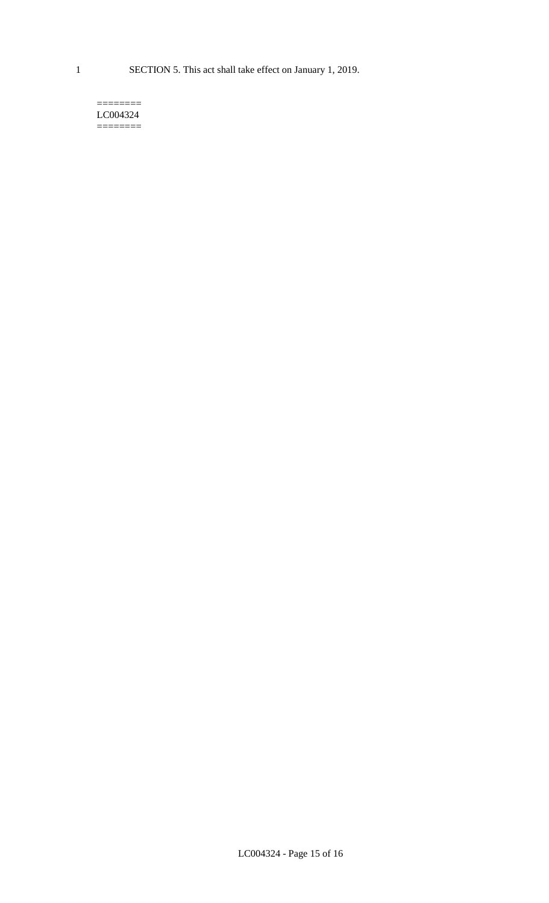1 SECTION 5. This act shall take effect on January 1, 2019.

#### $=$ LC004324 ========